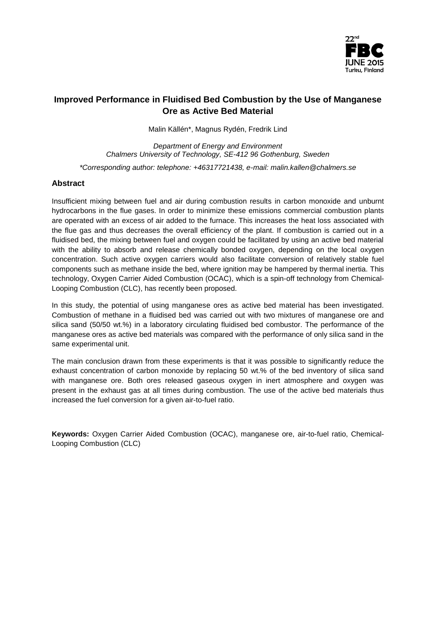

# **Improved Performance in Fluidised Bed Combustion by the Use of Manganese Ore as Active Bed Material**

Malin Källén\*, Magnus Rydén, Fredrik Lind

*Department of Energy and Environment Chalmers University of Technology, SE-412 96 Gothenburg, Sweden \*Corresponding author: telephone: +46317721438, e-mail: malin.kallen@chalmers.se*

## **Abstract**

Insufficient mixing between fuel and air during combustion results in carbon monoxide and unburnt hydrocarbons in the flue gases. In order to minimize these emissions commercial combustion plants are operated with an excess of air added to the furnace. This increases the heat loss associated with the flue gas and thus decreases the overall efficiency of the plant. If combustion is carried out in a fluidised bed, the mixing between fuel and oxygen could be facilitated by using an active bed material with the ability to absorb and release chemically bonded oxygen, depending on the local oxygen concentration. Such active oxygen carriers would also facilitate conversion of relatively stable fuel components such as methane inside the bed, where ignition may be hampered by thermal inertia. This technology, Oxygen Carrier Aided Combustion (OCAC), which is a spin-off technology from Chemical-Looping Combustion (CLC), has recently been proposed.

In this study, the potential of using manganese ores as active bed material has been investigated. Combustion of methane in a fluidised bed was carried out with two mixtures of manganese ore and silica sand (50/50 wt.%) in a laboratory circulating fluidised bed combustor. The performance of the manganese ores as active bed materials was compared with the performance of only silica sand in the same experimental unit.

The main conclusion drawn from these experiments is that it was possible to significantly reduce the exhaust concentration of carbon monoxide by replacing 50 wt.% of the bed inventory of silica sand with manganese ore. Both ores released gaseous oxygen in inert atmosphere and oxygen was present in the exhaust gas at all times during combustion. The use of the active bed materials thus increased the fuel conversion for a given air-to-fuel ratio.

**Keywords:** Oxygen Carrier Aided Combustion (OCAC), manganese ore, air-to-fuel ratio, Chemical-Looping Combustion (CLC)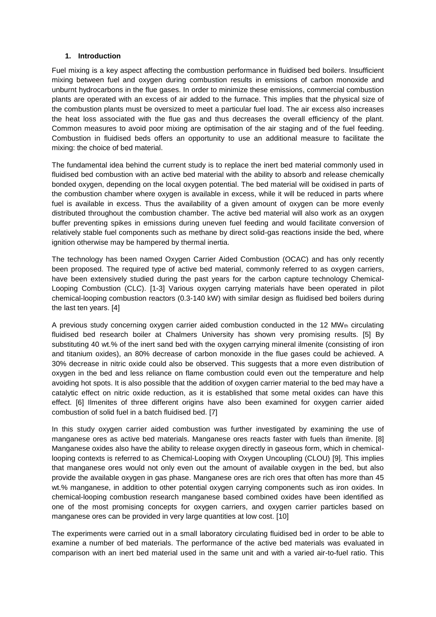## **1. Introduction**

Fuel mixing is a key aspect affecting the combustion performance in fluidised bed boilers. Insufficient mixing between fuel and oxygen during combustion results in emissions of carbon monoxide and unburnt hydrocarbons in the flue gases. In order to minimize these emissions, commercial combustion plants are operated with an excess of air added to the furnace. This implies that the physical size of the combustion plants must be oversized to meet a particular fuel load. The air excess also increases the heat loss associated with the flue gas and thus decreases the overall efficiency of the plant. Common measures to avoid poor mixing are optimisation of the air staging and of the fuel feeding. Combustion in fluidised beds offers an opportunity to use an additional measure to facilitate the mixing: the choice of bed material.

The fundamental idea behind the current study is to replace the inert bed material commonly used in fluidised bed combustion with an active bed material with the ability to absorb and release chemically bonded oxygen, depending on the local oxygen potential. The bed material will be oxidised in parts of the combustion chamber where oxygen is available in excess, while it will be reduced in parts where fuel is available in excess. Thus the availability of a given amount of oxygen can be more evenly distributed throughout the combustion chamber. The active bed material will also work as an oxygen buffer preventing spikes in emissions during uneven fuel feeding and would facilitate conversion of relatively stable fuel components such as methane by direct solid-gas reactions inside the bed, where ignition otherwise may be hampered by thermal inertia.

The technology has been named Oxygen Carrier Aided Combustion (OCAC) and has only recently been proposed. The required type of active bed material, commonly referred to as oxygen carriers, have been extensively studied during the past years for the carbon capture technology Chemical-Looping Combustion (CLC). [\[1-3\]](#page-8-0) Various oxygen carrying materials have been operated in pilot chemical-looping combustion reactors (0.3-140 kW) with similar design as fluidised bed boilers during the last ten years. [\[4\]](#page-8-1)

A previous study concerning oxygen carrier aided combustion conducted in the 12 MW $_{\text{th}}$  circulating fluidised bed research boiler at Chalmers University has shown very promising results. [\[5\]](#page-8-2) By substituting 40 wt.% of the inert sand bed with the oxygen carrying mineral ilmenite (consisting of iron and titanium oxides), an 80% decrease of carbon monoxide in the flue gases could be achieved. A 30% decrease in nitric oxide could also be observed. This suggests that a more even distribution of oxygen in the bed and less reliance on flame combustion could even out the temperature and help avoiding hot spots. It is also possible that the addition of oxygen carrier material to the bed may have a catalytic effect on nitric oxide reduction, as it is established that some metal oxides can have this effect. [\[6\]](#page-8-3) Ilmenites of three different origins have also been examined for oxygen carrier aided combustion of solid fuel in a batch fluidised bed. [\[7\]](#page-8-4)

In this study oxygen carrier aided combustion was further investigated by examining the use of manganese ores as active bed materials. Manganese ores reacts faster with fuels than ilmenite. [\[8\]](#page-8-5) Manganese oxides also have the ability to release oxygen directly in gaseous form, which in chemicallooping contexts is referred to as Chemical-Looping with Oxygen Uncoupling (CLOU) [\[9\]](#page-8-6). This implies that manganese ores would not only even out the amount of available oxygen in the bed, but also provide the available oxygen in gas phase. Manganese ores are rich ores that often has more than 45 wt.% manganese, in addition to other potential oxygen carrying components such as iron oxides. In chemical-looping combustion research manganese based combined oxides have been identified as one of the most promising concepts for oxygen carriers, and oxygen carrier particles based on manganese ores can be provided in very large quantities at low cost. [\[10\]](#page-8-7)

The experiments were carried out in a small laboratory circulating fluidised bed in order to be able to examine a number of bed materials. The performance of the active bed materials was evaluated in comparison with an inert bed material used in the same unit and with a varied air-to-fuel ratio. This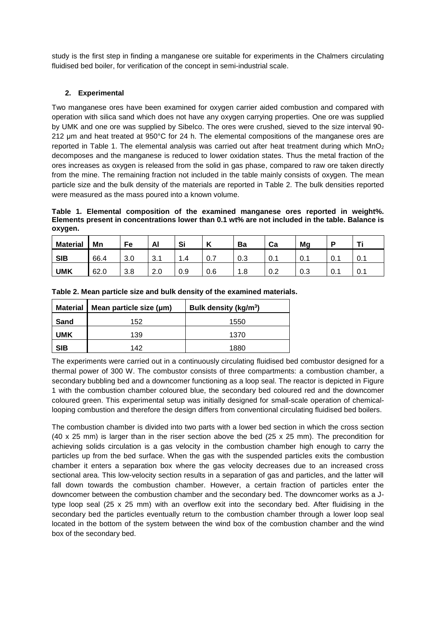study is the first step in finding a manganese ore suitable for experiments in the Chalmers circulating fluidised bed boiler, for verification of the concept in semi-industrial scale.

# **2. Experimental**

Two manganese ores have been examined for oxygen carrier aided combustion and compared with operation with silica sand which does not have any oxygen carrying properties. One ore was supplied by UMK and one ore was supplied by Sibelco. The ores were crushed, sieved to the size interval 90- 212 μm and heat treated at 950°C for 24 h. The elemental compositions of the manganese ores are reported in [Table 1.](#page-2-0) The elemental analysis was carried out after heat treatment during which  $MnO<sub>2</sub>$ decomposes and the manganese is reduced to lower oxidation states. Thus the metal fraction of the ores increases as oxygen is released from the solid in gas phase, compared to raw ore taken directly from the mine. The remaining fraction not included in the table mainly consists of oxygen. The mean particle size and the bulk density of the materials are reported in Table 2. The bulk densities reported were measured as the mass poured into a known volume.

<span id="page-2-0"></span>**Table 1. Elemental composition of the examined manganese ores reported in weight%. Elements present in concentrations lower than 0.1 wt% are not included in the table. Balance is oxygen.**

| <b>Material</b> | Mn   | Fe         | Al                   | Si  | $\overline{ }$<br>n | Ba        | Ca    | Mg  |        | <b>TIP</b> |
|-----------------|------|------------|----------------------|-----|---------------------|-----------|-------|-----|--------|------------|
| <b>SIB</b>      | 66.4 | ാ റ<br>J.U | ົ<br>، ب             | 1.4 | υ. Ι                | റാ<br>U.3 | ັບ. ເ | 0.  | v. I   | 0.1        |
| <b>UMK</b>      | 62.0 | 3.8        | $\sim$ $\sim$<br>Z.U | 0.9 | 0.6                 | 1.8       | v.z   | 0.3 | . v. . | U. 1       |

| Material   | Mean particle size (µm) | Bulk density (kg/m <sup>3</sup> ) |
|------------|-------------------------|-----------------------------------|
| Sand       | 152                     | 1550                              |
| <b>UMK</b> | 139                     | 1370                              |
| <b>SIB</b> | 142                     | 1880                              |

**Table 2. Mean particle size and bulk density of the examined materials.**

The experiments were carried out in a continuously circulating fluidised bed combustor designed for a thermal power of 300 W. The combustor consists of three compartments: a combustion chamber, a secondary bubbling bed and a downcomer functioning as a loop seal. The reactor is depicted in [Figure](#page-3-0)  [1](#page-3-0) with the combustion chamber coloured blue, the secondary bed coloured red and the downcomer coloured green. This experimental setup was initially designed for small-scale operation of chemicallooping combustion and therefore the design differs from conventional circulating fluidised bed boilers.

The combustion chamber is divided into two parts with a lower bed section in which the cross section (40 x 25 mm) is larger than in the riser section above the bed (25 x 25 mm). The precondition for achieving solids circulation is a gas velocity in the combustion chamber high enough to carry the particles up from the bed surface. When the gas with the suspended particles exits the combustion chamber it enters a separation box where the gas velocity decreases due to an increased cross sectional area. This low-velocity section results in a separation of gas and particles, and the latter will fall down towards the combustion chamber. However, a certain fraction of particles enter the downcomer between the combustion chamber and the secondary bed. The downcomer works as a Jtype loop seal (25 x 25 mm) with an overflow exit into the secondary bed. After fluidising in the secondary bed the particles eventually return to the combustion chamber through a lower loop seal located in the bottom of the system between the wind box of the combustion chamber and the wind box of the secondary bed.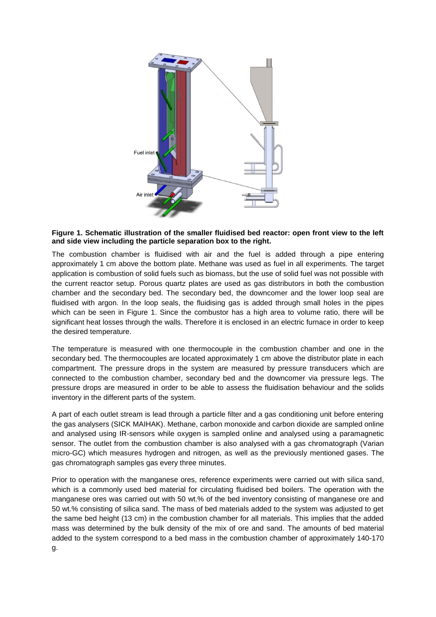

#### <span id="page-3-0"></span>**Figure 1. Schematic illustration of the smaller fluidised bed reactor: open front view to the left and side view including the particle separation box to the right.**

The combustion chamber is fluidised with air and the fuel is added through a pipe entering approximately 1 cm above the bottom plate. Methane was used as fuel in all experiments. The target application is combustion of solid fuels such as biomass, but the use of solid fuel was not possible with the current reactor setup. Porous quartz plates are used as gas distributors in both the combustion chamber and the secondary bed. The secondary bed, the downcomer and the lower loop seal are fluidised with argon. In the loop seals, the fluidising gas is added through small holes in the pipes which can be seen in [Figure 1.](#page-3-0) Since the combustor has a high area to volume ratio, there will be significant heat losses through the walls. Therefore it is enclosed in an electric furnace in order to keep the desired temperature.

The temperature is measured with one thermocouple in the combustion chamber and one in the secondary bed. The thermocouples are located approximately 1 cm above the distributor plate in each compartment. The pressure drops in the system are measured by pressure transducers which are connected to the combustion chamber, secondary bed and the downcomer via pressure legs. The pressure drops are measured in order to be able to assess the fluidisation behaviour and the solids inventory in the different parts of the system.

A part of each outlet stream is lead through a particle filter and a gas conditioning unit before entering the gas analysers (SICK MAIHAK). Methane, carbon monoxide and carbon dioxide are sampled online and analysed using IR-sensors while oxygen is sampled online and analysed using a paramagnetic sensor. The outlet from the combustion chamber is also analysed with a gas chromatograph (Varian micro-GC) which measures hydrogen and nitrogen, as well as the previously mentioned gases. The gas chromatograph samples gas every three minutes.

Prior to operation with the manganese ores, reference experiments were carried out with silica sand, which is a commonly used bed material for circulating fluidised bed boilers. The operation with the manganese ores was carried out with 50 wt.% of the bed inventory consisting of manganese ore and 50 wt.% consisting of silica sand. The mass of bed materials added to the system was adjusted to get the same bed height (13 cm) in the combustion chamber for all materials. This implies that the added mass was determined by the bulk density of the mix of ore and sand. The amounts of bed material added to the system correspond to a bed mass in the combustion chamber of approximately 140-170 g.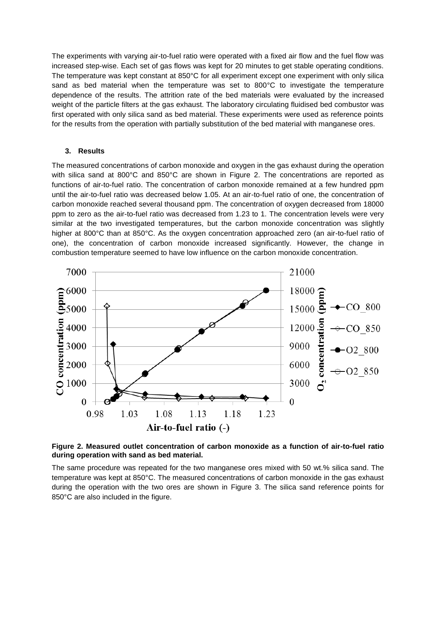The experiments with varying air-to-fuel ratio were operated with a fixed air flow and the fuel flow was increased step-wise. Each set of gas flows was kept for 20 minutes to get stable operating conditions. The temperature was kept constant at 850°C for all experiment except one experiment with only silica sand as bed material when the temperature was set to 800°C to investigate the temperature dependence of the results. The attrition rate of the bed materials were evaluated by the increased weight of the particle filters at the gas exhaust. The laboratory circulating fluidised bed combustor was first operated with only silica sand as bed material. These experiments were used as reference points for the results from the operation with partially substitution of the bed material with manganese ores.

#### **3. Results**

The measured concentrations of carbon monoxide and oxygen in the gas exhaust during the operation with silica sand at 800°C and 850°C are shown in [Figure 2.](#page-4-0) The concentrations are reported as functions of air-to-fuel ratio. The concentration of carbon monoxide remained at a few hundred ppm until the air-to-fuel ratio was decreased below 1.05. At an air-to-fuel ratio of one, the concentration of carbon monoxide reached several thousand ppm. The concentration of oxygen decreased from 18000 ppm to zero as the air-to-fuel ratio was decreased from 1.23 to 1. The concentration levels were very similar at the two investigated temperatures, but the carbon monoxide concentration was slightly higher at 800°C than at 850°C. As the oxygen concentration approached zero (an air-to-fuel ratio of one), the concentration of carbon monoxide increased significantly. However, the change in combustion temperature seemed to have low influence on the carbon monoxide concentration.



<span id="page-4-0"></span>**Figure 2. Measured outlet concentration of carbon monoxide as a function of air-to-fuel ratio during operation with sand as bed material.**

The same procedure was repeated for the two manganese ores mixed with 50 wt.% silica sand. The temperature was kept at 850°C. The measured concentrations of carbon monoxide in the gas exhaust during the operation with the two ores are shown in [Figure 3.](#page-5-0) The silica sand reference points for 850°C are also included in the figure.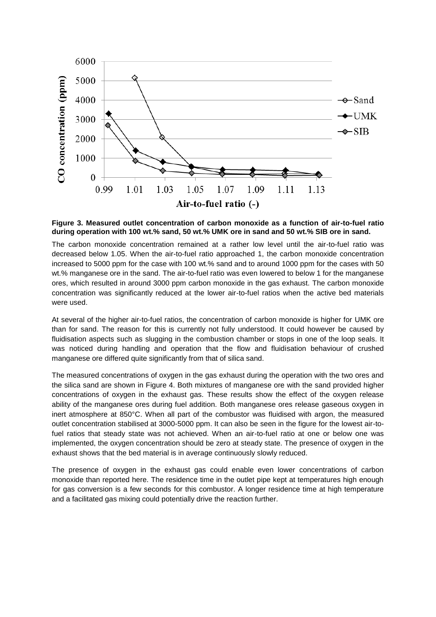

<span id="page-5-0"></span>**Figure 3. Measured outlet concentration of carbon monoxide as a function of air-to-fuel ratio during operation with 100 wt.% sand, 50 wt.% UMK ore in sand and 50 wt.% SIB ore in sand.**

The carbon monoxide concentration remained at a rather low level until the air-to-fuel ratio was decreased below 1.05. When the air-to-fuel ratio approached 1, the carbon monoxide concentration increased to 5000 ppm for the case with 100 wt.% sand and to around 1000 ppm for the cases with 50 wt.% manganese ore in the sand. The air-to-fuel ratio was even lowered to below 1 for the manganese ores, which resulted in around 3000 ppm carbon monoxide in the gas exhaust. The carbon monoxide concentration was significantly reduced at the lower air-to-fuel ratios when the active bed materials were used.

At several of the higher air-to-fuel ratios, the concentration of carbon monoxide is higher for UMK ore than for sand. The reason for this is currently not fully understood. It could however be caused by fluidisation aspects such as slugging in the combustion chamber or stops in one of the loop seals. It was noticed during handling and operation that the flow and fluidisation behaviour of crushed manganese ore differed quite significantly from that of silica sand.

The measured concentrations of oxygen in the gas exhaust during the operation with the two ores and the silica sand are shown in [Figure 4.](#page-6-0) Both mixtures of manganese ore with the sand provided higher concentrations of oxygen in the exhaust gas. These results show the effect of the oxygen release ability of the manganese ores during fuel addition. Both manganese ores release gaseous oxygen in inert atmosphere at 850°C. When all part of the combustor was fluidised with argon, the measured outlet concentration stabilised at 3000-5000 ppm. It can also be seen in the figure for the lowest air-tofuel ratios that steady state was not achieved. When an air-to-fuel ratio at one or below one was implemented, the oxygen concentration should be zero at steady state. The presence of oxygen in the exhaust shows that the bed material is in average continuously slowly reduced.

The presence of oxygen in the exhaust gas could enable even lower concentrations of carbon monoxide than reported here. The residence time in the outlet pipe kept at temperatures high enough for gas conversion is a few seconds for this combustor. A longer residence time at high temperature and a facilitated gas mixing could potentially drive the reaction further.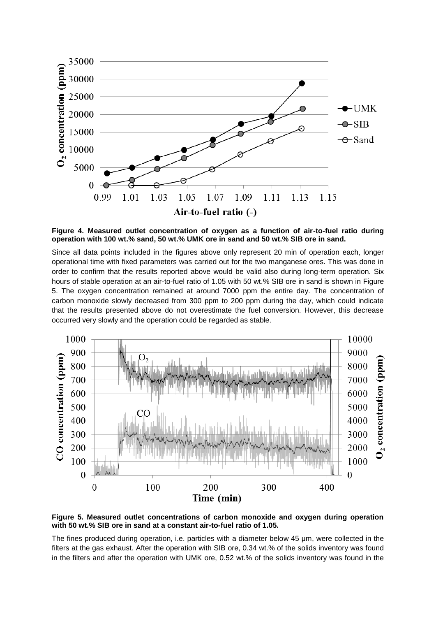

<span id="page-6-0"></span>**Figure 4. Measured outlet concentration of oxygen as a function of air-to-fuel ratio during operation with 100 wt.% sand, 50 wt.% UMK ore in sand and 50 wt.% SIB ore in sand.**

Since all data points included in the figures above only represent 20 min of operation each, longer operational time with fixed parameters was carried out for the two manganese ores. This was done in order to confirm that the results reported above would be valid also during long-term operation. Six hours of stable operation at an air-to-fuel ratio of 1.05 with 50 wt.% SIB ore in sand is shown in Figure [5.](#page-6-1) The oxygen concentration remained at around 7000 ppm the entire day. The concentration of carbon monoxide slowly decreased from 300 ppm to 200 ppm during the day, which could indicate that the results presented above do not overestimate the fuel conversion. However, this decrease occurred very slowly and the operation could be regarded as stable.



<span id="page-6-1"></span>**Figure 5. Measured outlet concentrations of carbon monoxide and oxygen during operation with 50 wt.% SIB ore in sand at a constant air-to-fuel ratio of 1.05.**

The fines produced during operation, i.e. particles with a diameter below 45 μm, were collected in the filters at the gas exhaust. After the operation with SIB ore, 0.34 wt.% of the solids inventory was found in the filters and after the operation with UMK ore, 0.52 wt.% of the solids inventory was found in the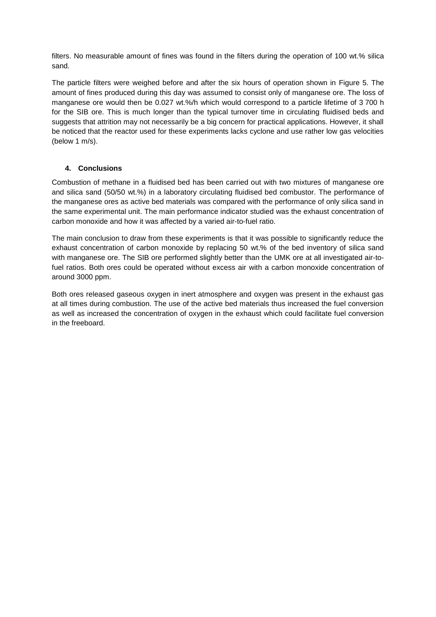filters. No measurable amount of fines was found in the filters during the operation of 100 wt.% silica sand.

The particle filters were weighed before and after the six hours of operation shown in [Figure 5.](#page-6-1) The amount of fines produced during this day was assumed to consist only of manganese ore. The loss of manganese ore would then be 0.027 wt.%/h which would correspond to a particle lifetime of 3 700 h for the SIB ore. This is much longer than the typical turnover time in circulating fluidised beds and suggests that attrition may not necessarily be a big concern for practical applications. However, it shall be noticed that the reactor used for these experiments lacks cyclone and use rather low gas velocities (below 1 m/s).

## **4. Conclusions**

Combustion of methane in a fluidised bed has been carried out with two mixtures of manganese ore and silica sand (50/50 wt.%) in a laboratory circulating fluidised bed combustor. The performance of the manganese ores as active bed materials was compared with the performance of only silica sand in the same experimental unit. The main performance indicator studied was the exhaust concentration of carbon monoxide and how it was affected by a varied air-to-fuel ratio.

The main conclusion to draw from these experiments is that it was possible to significantly reduce the exhaust concentration of carbon monoxide by replacing 50 wt.% of the bed inventory of silica sand with manganese ore. The SIB ore performed slightly better than the UMK ore at all investigated air-tofuel ratios. Both ores could be operated without excess air with a carbon monoxide concentration of around 3000 ppm.

Both ores released gaseous oxygen in inert atmosphere and oxygen was present in the exhaust gas at all times during combustion. The use of the active bed materials thus increased the fuel conversion as well as increased the concentration of oxygen in the exhaust which could facilitate fuel conversion in the freeboard.